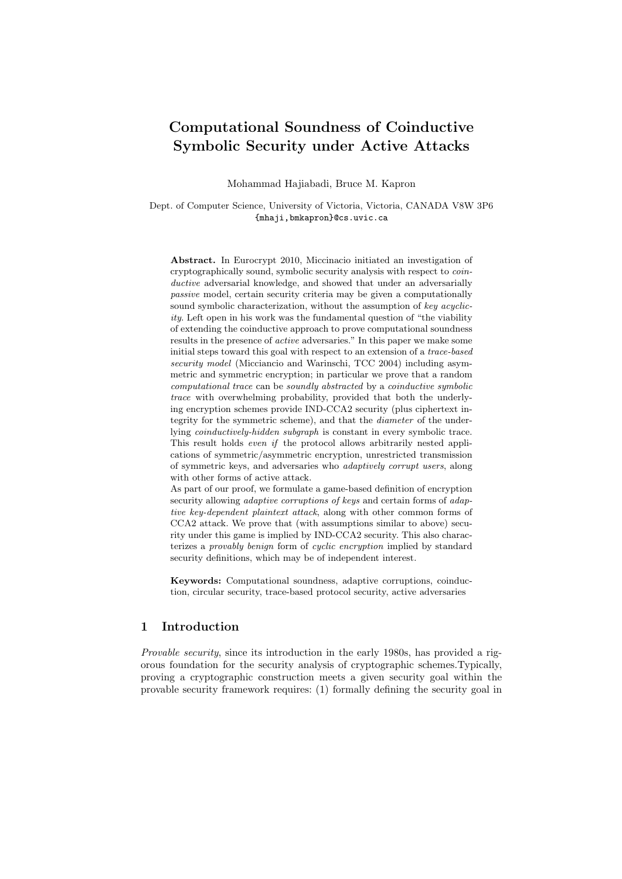# Computational Soundness of Coinductive Symbolic Security under Active Attacks

Mohammad Hajiabadi, Bruce M. Kapron

Dept. of Computer Science, University of Victoria, Victoria, CANADA V8W 3P6 {mhaji,bmkapron}@cs.uvic.ca

Abstract. In Eurocrypt 2010, Miccinacio initiated an investigation of cryptographically sound, symbolic security analysis with respect to coinductive adversarial knowledge, and showed that under an adversarially passive model, certain security criteria may be given a computationally sound symbolic characterization, without the assumption of key acyclicity. Left open in his work was the fundamental question of "the viability of extending the coinductive approach to prove computational soundness results in the presence of active adversaries." In this paper we make some initial steps toward this goal with respect to an extension of a *trace-based* security model (Micciancio and Warinschi, TCC 2004) including asymmetric and symmetric encryption; in particular we prove that a random computational trace can be soundly abstracted by a coinductive symbolic trace with overwhelming probability, provided that both the underlying encryption schemes provide IND-CCA2 security (plus ciphertext integrity for the symmetric scheme), and that the diameter of the underlying coinductively-hidden subgraph is constant in every symbolic trace. This result holds even if the protocol allows arbitrarily nested applications of symmetric/asymmetric encryption, unrestricted transmission of symmetric keys, and adversaries who adaptively corrupt users, along with other forms of active attack.

As part of our proof, we formulate a game-based definition of encryption security allowing *adaptive corruptions of keys* and certain forms of *adap*tive key-dependent plaintext attack, along with other common forms of CCA2 attack. We prove that (with assumptions similar to above) security under this game is implied by IND-CCA2 security. This also characterizes a provably benign form of cyclic encryption implied by standard security definitions, which may be of independent interest.

Keywords: Computational soundness, adaptive corruptions, coinduction, circular security, trace-based protocol security, active adversaries

## 1 Introduction

Provable security, since its introduction in the early 1980s, has provided a rigorous foundation for the security analysis of cryptographic schemes.Typically, proving a cryptographic construction meets a given security goal within the provable security framework requires: (1) formally defining the security goal in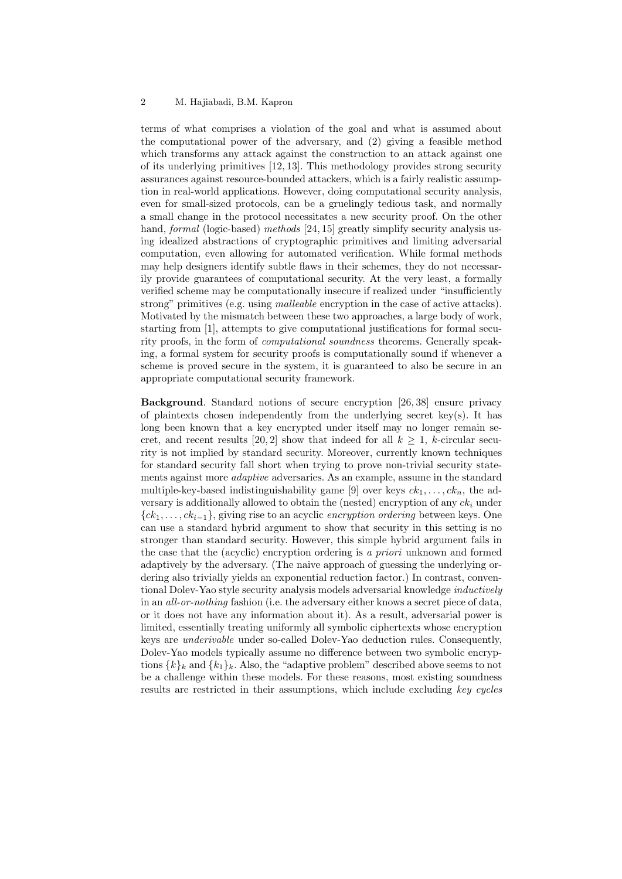terms of what comprises a violation of the goal and what is assumed about the computational power of the adversary, and (2) giving a feasible method which transforms any attack against the construction to an attack against one of its underlying primitives [12, 13]. This methodology provides strong security assurances against resource-bounded attackers, which is a fairly realistic assumption in real-world applications. However, doing computational security analysis, even for small-sized protocols, can be a gruelingly tedious task, and normally a small change in the protocol necessitates a new security proof. On the other hand, *formal* (logic-based) methods [24, 15] greatly simplify security analysis using idealized abstractions of cryptographic primitives and limiting adversarial computation, even allowing for automated verification. While formal methods may help designers identify subtle flaws in their schemes, they do not necessarily provide guarantees of computational security. At the very least, a formally verified scheme may be computationally insecure if realized under "insufficiently strong" primitives (e.g. using *malleable* encryption in the case of active attacks). Motivated by the mismatch between these two approaches, a large body of work, starting from [1], attempts to give computational justifications for formal security proofs, in the form of computational soundness theorems. Generally speaking, a formal system for security proofs is computationally sound if whenever a scheme is proved secure in the system, it is guaranteed to also be secure in an appropriate computational security framework.

Background. Standard notions of secure encryption [26, 38] ensure privacy of plaintexts chosen independently from the underlying secret key(s). It has long been known that a key encrypted under itself may no longer remain secret, and recent results [20, 2] show that indeed for all  $k \geq 1$ , k-circular security is not implied by standard security. Moreover, currently known techniques for standard security fall short when trying to prove non-trivial security statements against more adaptive adversaries. As an example, assume in the standard multiple-key-based indistinguishability game [9] over keys  $ck_1, \ldots, ck_n$ , the adversary is additionally allowed to obtain the (nested) encryption of any  $ck_i$  under  $\{ck_1, \ldots, ck_{i-1}\}\$ , giving rise to an acyclic *encryption ordering* between keys. One can use a standard hybrid argument to show that security in this setting is no stronger than standard security. However, this simple hybrid argument fails in the case that the (acyclic) encryption ordering is a priori unknown and formed adaptively by the adversary. (The naive approach of guessing the underlying ordering also trivially yields an exponential reduction factor.) In contrast, conventional Dolev-Yao style security analysis models adversarial knowledge inductively in an all-or-nothing fashion (i.e. the adversary either knows a secret piece of data, or it does not have any information about it). As a result, adversarial power is limited, essentially treating uniformly all symbolic ciphertexts whose encryption keys are underivable under so-called Dolev-Yao deduction rules. Consequently, Dolev-Yao models typically assume no difference between two symbolic encryptions  $\{k\}_k$  and  $\{k_1\}_k$ . Also, the "adaptive problem" described above seems to not be a challenge within these models. For these reasons, most existing soundness results are restricted in their assumptions, which include excluding key cycles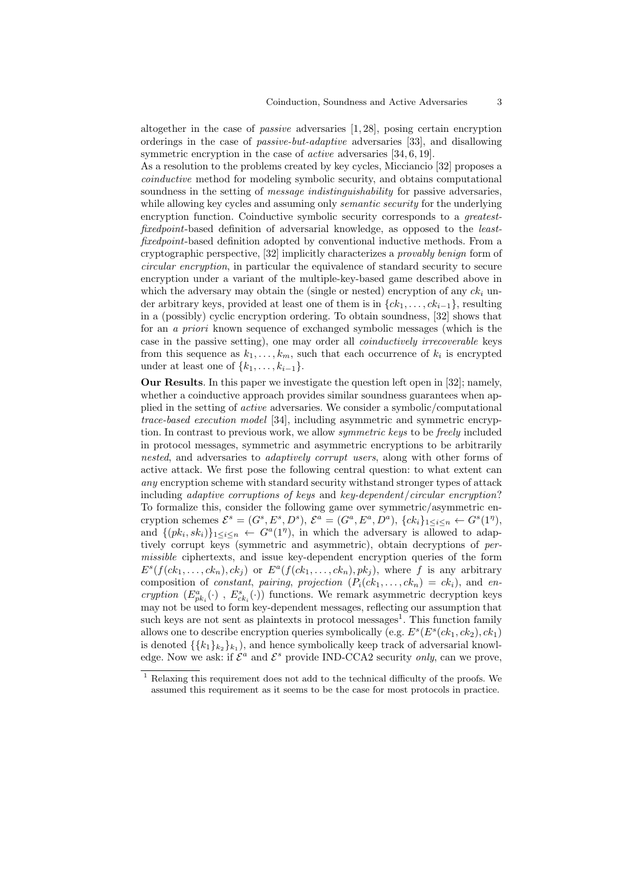altogether in the case of passive adversaries [1, 28], posing certain encryption orderings in the case of passive-but-adaptive adversaries [33], and disallowing symmetric encryption in the case of *active* adversaries [34, 6, 19].

As a resolution to the problems created by key cycles, Micciancio [32] proposes a coinductive method for modeling symbolic security, and obtains computational soundness in the setting of *message indistinguishability* for passive adversaries, while allowing key cycles and assuming only *semantic security* for the underlying encryption function. Coinductive symbolic security corresponds to a *greatest*fixedpoint-based definition of adversarial knowledge, as opposed to the leastfixedpoint-based definition adopted by conventional inductive methods. From a cryptographic perspective, [32] implicitly characterizes a provably benign form of circular encryption, in particular the equivalence of standard security to secure encryption under a variant of the multiple-key-based game described above in which the adversary may obtain the (single or nested) encryption of any  $ck_i$  under arbitrary keys, provided at least one of them is in  $\{ck_1, \ldots, ck_{i-1}\}\$ , resulting in a (possibly) cyclic encryption ordering. To obtain soundness, [32] shows that for an a priori known sequence of exchanged symbolic messages (which is the case in the passive setting), one may order all coinductively irrecoverable keys from this sequence as  $k_1, \ldots, k_m$ , such that each occurrence of  $k_i$  is encrypted under at least one of  $\{k_1, \ldots, k_{i-1}\}.$ 

Our Results. In this paper we investigate the question left open in [32]; namely, whether a coinductive approach provides similar soundness guarantees when applied in the setting of active adversaries. We consider a symbolic/computational trace-based execution model [34], including asymmetric and symmetric encryption. In contrast to previous work, we allow *symmetric keys* to be *freely* included in protocol messages, symmetric and asymmetric encryptions to be arbitrarily nested, and adversaries to adaptively corrupt users, along with other forms of active attack. We first pose the following central question: to what extent can any encryption scheme with standard security withstand stronger types of attack including adaptive corruptions of keys and key-dependent/circular encryption? To formalize this, consider the following game over symmetric/asymmetric encryption schemes  $\mathcal{E}^s = (G^s, E^s, D^s), \, \mathcal{E}^a = (G^a, E^a, D^a), \, \{ck_i\}_{1 \leq i \leq n} \leftarrow G^s(1^n),$ and  $\{(pk_i, sk_i)\}_{1 \leq i \leq n} \leftarrow G^a(1^{\eta})$ , in which the adversary is allowed to adaptively corrupt keys (symmetric and asymmetric), obtain decryptions of permissible ciphertexts, and issue key-dependent encryption queries of the form  $E^{s}(f(ck_1, \ldots, ck_n), ck_j)$  or  $E^{a}(f(ck_1, \ldots, ck_n), pk_j)$ , where f is any arbitrary composition of *constant*, *pairing*, *projection*  $(P_i(ck_1, \ldots, ck_n) = ck_i)$ , and en $cryption~({\cal E}_{pk_i}^a(\cdot)$  ,  ${\cal E}_{ck_i}^s(\cdot))$  functions. We remark asymmetric decryption keys may not be used to form key-dependent messages, reflecting our assumption that such keys are not sent as plaintexts in protocol messages<sup>1</sup>. This function family allows one to describe encryption queries symbolically (e.g.  $E^s(E^s(ck_1, ck_2), ck_1)$ ) is denoted  $\{\{k_1\}_{k_2}\}_{k_1}$ , and hence symbolically keep track of adversarial knowledge. Now we ask: if  $\mathcal{E}^a$  and  $\mathcal{E}^s$  provide IND-CCA2 security only, can we prove,

 $^{\rm 1}$  Relaxing this requirement does not add to the technical difficulty of the proofs. We assumed this requirement as it seems to be the case for most protocols in practice.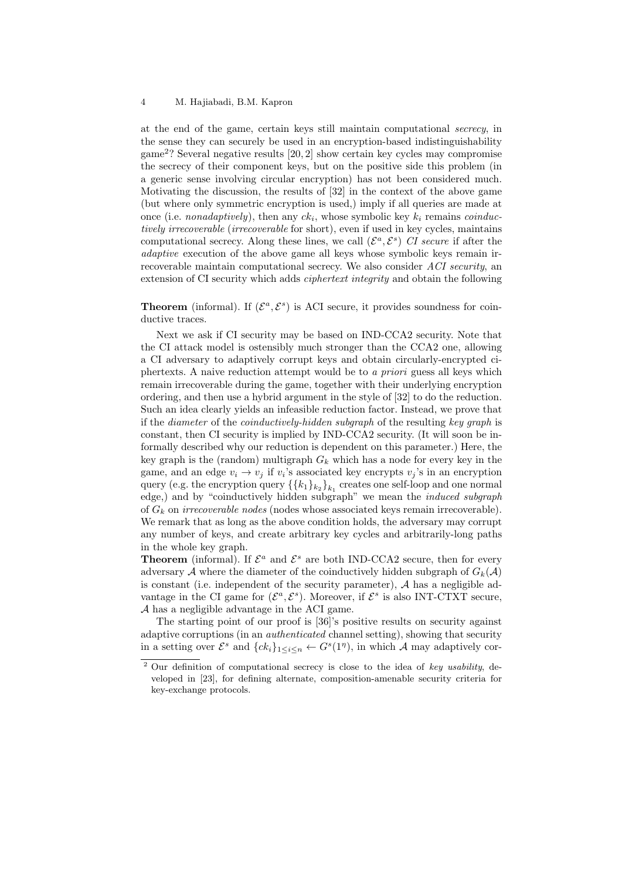at the end of the game, certain keys still maintain computational secrecy, in the sense they can securely be used in an encryption-based indistinguishability game<sup>2</sup> ? Several negative results [20, 2] show certain key cycles may compromise the secrecy of their component keys, but on the positive side this problem (in a generic sense involving circular encryption) has not been considered much. Motivating the discussion, the results of [32] in the context of the above game (but where only symmetric encryption is used,) imply if all queries are made at once (i.e. *nonadaptively*), then any  $ck_i$ , whose symbolic key  $k_i$  remains *coinduc*tively irrecoverable (irrecoverable for short), even if used in key cycles, maintains computational secrecy. Along these lines, we call  $(\mathcal{E}^a, \mathcal{E}^s)$  CI secure if after the adaptive execution of the above game all keys whose symbolic keys remain irrecoverable maintain computational secrecy. We also consider ACI security, an extension of CI security which adds ciphertext integrity and obtain the following

**Theorem** (informal). If  $(\mathcal{E}^a, \mathcal{E}^s)$  is ACI secure, it provides soundness for coinductive traces.

Next we ask if CI security may be based on IND-CCA2 security. Note that the CI attack model is ostensibly much stronger than the CCA2 one, allowing a CI adversary to adaptively corrupt keys and obtain circularly-encrypted ciphertexts. A naive reduction attempt would be to a priori guess all keys which remain irrecoverable during the game, together with their underlying encryption ordering, and then use a hybrid argument in the style of [32] to do the reduction. Such an idea clearly yields an infeasible reduction factor. Instead, we prove that if the diameter of the coinductively-hidden subgraph of the resulting key graph is constant, then CI security is implied by IND-CCA2 security. (It will soon be informally described why our reduction is dependent on this parameter.) Here, the key graph is the (random) multigraph  $G_k$  which has a node for every key in the game, and an edge  $v_i \to v_j$  if  $v_i$ 's associated key encrypts  $v_j$ 's in an encryption query (e.g. the encryption query  $\{\{k_1\}_{k_2}\}_{k_1}$  creates one self-loop and one normal edge,) and by "coinductively hidden subgraph" we mean the *induced subgraph* of  $G_k$  on *irrecoverable nodes* (nodes whose associated keys remain irrecoverable). We remark that as long as the above condition holds, the adversary may corrupt any number of keys, and create arbitrary key cycles and arbitrarily-long paths in the whole key graph.

**Theorem** (informal). If  $\mathcal{E}^a$  and  $\mathcal{E}^s$  are both IND-CCA2 secure, then for every adversary A where the diameter of the coinductively hidden subgraph of  $G_k(\mathcal{A})$ is constant (i.e. independent of the security parameter), A has a negligible advantage in the CI game for  $(\mathcal{E}^a, \mathcal{E}^s)$ . Moreover, if  $\mathcal{E}^s$  is also INT-CTXT secure, A has a negligible advantage in the ACI game.

The starting point of our proof is [36]'s positive results on security against adaptive corruptions (in an authenticated channel setting), showing that security in a setting over  $\mathcal{E}^s$  and  $\{ck_i\}_{1\leq i\leq n} \leftarrow G^s(1^{\eta})$ , in which A may adaptively cor-

 $\sqrt{2}$  Our definition of computational secrecy is close to the idea of key usability, developed in [23], for defining alternate, composition-amenable security criteria for key-exchange protocols.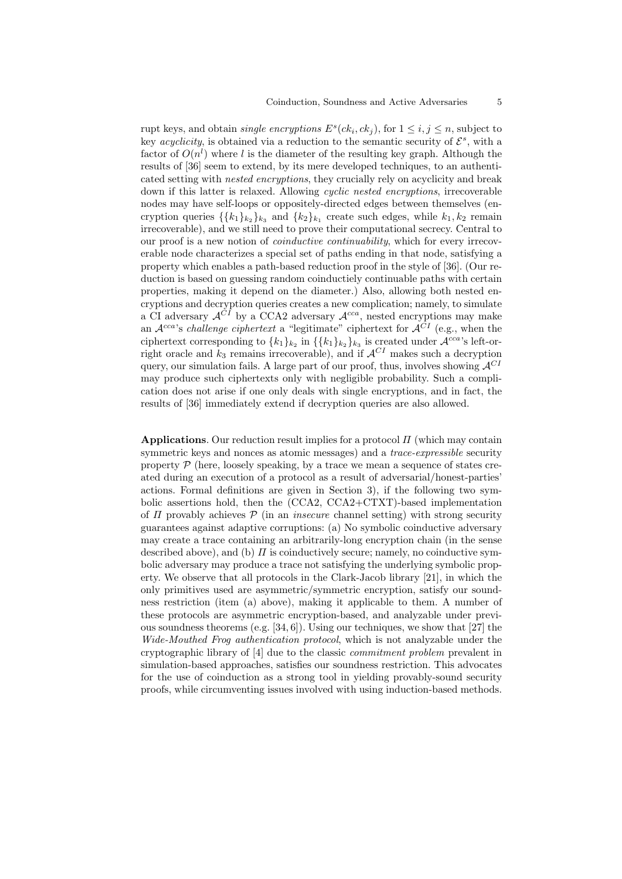rupt keys, and obtain *single encryptions*  $E^s(ck_i, ck_j)$ , for  $1 \le i, j \le n$ , subject to key *acyclicity*, is obtained via a reduction to the semantic security of  $\mathcal{E}^s$ , with a factor of  $O(n^l)$  where l is the diameter of the resulting key graph. Although the results of [36] seem to extend, by its mere developed techniques, to an authenticated setting with nested encryptions, they crucially rely on acyclicity and break down if this latter is relaxed. Allowing cyclic nested encryptions, irrecoverable nodes may have self-loops or oppositely-directed edges between themselves (encryption queries  $\{\{k_1\}_{k_2}\}_{k_3}$  and  $\{k_2\}_{k_1}$  create such edges, while  $k_1, k_2$  remain irrecoverable), and we still need to prove their computational secrecy. Central to our proof is a new notion of coinductive continuability, which for every irrecoverable node characterizes a special set of paths ending in that node, satisfying a property which enables a path-based reduction proof in the style of [36]. (Our reduction is based on guessing random coinductiely continuable paths with certain properties, making it depend on the diameter.) Also, allowing both nested encryptions and decryption queries creates a new complication; namely, to simulate a CI adversary  $\mathcal{A}^{CI}$  by a CCA2 adversary  $\mathcal{A}^{cca}$ , nested encryptions may make an  $\mathcal{A}^{cca}$ 's challenge ciphertext a "legitimate" ciphertext for  $\mathcal{A}^{CI}$  (e.g., when the ciphertext corresponding to  $\{k_1\}_{k_2}$  in  $\{\{k_1\}_{k_2}\}_{k_3}$  is created under  $\mathcal{A}^{cca}$ 's left-orright oracle and  $k_3$  remains irrecoverable), and if  $\mathcal{A}^{CI}$  makes such a decryption query, our simulation fails. A large part of our proof, thus, involves showing  $\mathcal{A}^{CI}$ may produce such ciphertexts only with negligible probability. Such a complication does not arise if one only deals with single encryptions, and in fact, the results of [36] immediately extend if decryption queries are also allowed.

**Applications.** Our reduction result implies for a protocol  $\Pi$  (which may contain symmetric keys and nonces as atomic messages) and a *trace-expressible* security property  $\mathcal P$  (here, loosely speaking, by a trace we mean a sequence of states created during an execution of a protocol as a result of adversarial/honest-parties' actions. Formal definitions are given in Section 3), if the following two symbolic assertions hold, then the (CCA2, CCA2+CTXT)-based implementation of  $\Pi$  provably achieves  $P$  (in an *insecure* channel setting) with strong security guarantees against adaptive corruptions: (a) No symbolic coinductive adversary may create a trace containing an arbitrarily-long encryption chain (in the sense described above), and (b)  $\Pi$  is coinductively secure; namely, no coinductive symbolic adversary may produce a trace not satisfying the underlying symbolic property. We observe that all protocols in the Clark-Jacob library [21], in which the only primitives used are asymmetric/symmetric encryption, satisfy our soundness restriction (item (a) above), making it applicable to them. A number of these protocols are asymmetric encryption-based, and analyzable under previous soundness theorems (e.g. [34, 6]). Using our techniques, we show that [27] the Wide-Mouthed Frog authentication protocol, which is not analyzable under the cryptographic library of [4] due to the classic commitment problem prevalent in simulation-based approaches, satisfies our soundness restriction. This advocates for the use of coinduction as a strong tool in yielding provably-sound security proofs, while circumventing issues involved with using induction-based methods.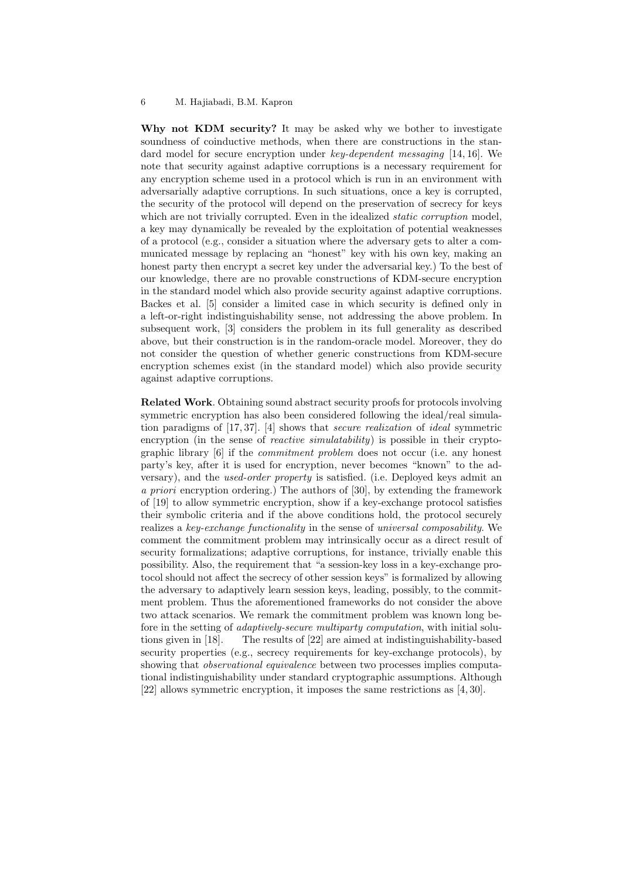Why not KDM security? It may be asked why we bother to investigate soundness of coinductive methods, when there are constructions in the standard model for secure encryption under key-dependent messaging [14, 16]. We note that security against adaptive corruptions is a necessary requirement for any encryption scheme used in a protocol which is run in an environment with adversarially adaptive corruptions. In such situations, once a key is corrupted, the security of the protocol will depend on the preservation of secrecy for keys which are not trivially corrupted. Even in the idealized *static corruption* model, a key may dynamically be revealed by the exploitation of potential weaknesses of a protocol (e.g., consider a situation where the adversary gets to alter a communicated message by replacing an "honest" key with his own key, making an honest party then encrypt a secret key under the adversarial key.) To the best of our knowledge, there are no provable constructions of KDM-secure encryption in the standard model which also provide security against adaptive corruptions. Backes et al. [5] consider a limited case in which security is defined only in a left-or-right indistinguishability sense, not addressing the above problem. In subsequent work, [3] considers the problem in its full generality as described above, but their construction is in the random-oracle model. Moreover, they do not consider the question of whether generic constructions from KDM-secure encryption schemes exist (in the standard model) which also provide security against adaptive corruptions.

Related Work. Obtaining sound abstract security proofs for protocols involving symmetric encryption has also been considered following the ideal/real simulation paradigms of [17, 37]. [4] shows that secure realization of ideal symmetric encryption (in the sense of *reactive simulatability*) is possible in their cryptographic library [6] if the commitment problem does not occur (i.e. any honest party's key, after it is used for encryption, never becomes "known" to the adversary), and the used-order property is satisfied. (i.e. Deployed keys admit an a priori encryption ordering.) The authors of [30], by extending the framework of [19] to allow symmetric encryption, show if a key-exchange protocol satisfies their symbolic criteria and if the above conditions hold, the protocol securely realizes a key-exchange functionality in the sense of universal composability. We comment the commitment problem may intrinsically occur as a direct result of security formalizations; adaptive corruptions, for instance, trivially enable this possibility. Also, the requirement that "a session-key loss in a key-exchange protocol should not affect the secrecy of other session keys" is formalized by allowing the adversary to adaptively learn session keys, leading, possibly, to the commitment problem. Thus the aforementioned frameworks do not consider the above two attack scenarios. We remark the commitment problem was known long before in the setting of adaptively-secure multiparty computation, with initial solutions given in [18]. The results of [22] are aimed at indistinguishability-based security properties (e.g., secrecy requirements for key-exchange protocols), by showing that *observational equivalence* between two processes implies computational indistinguishability under standard cryptographic assumptions. Although [22] allows symmetric encryption, it imposes the same restrictions as [4, 30].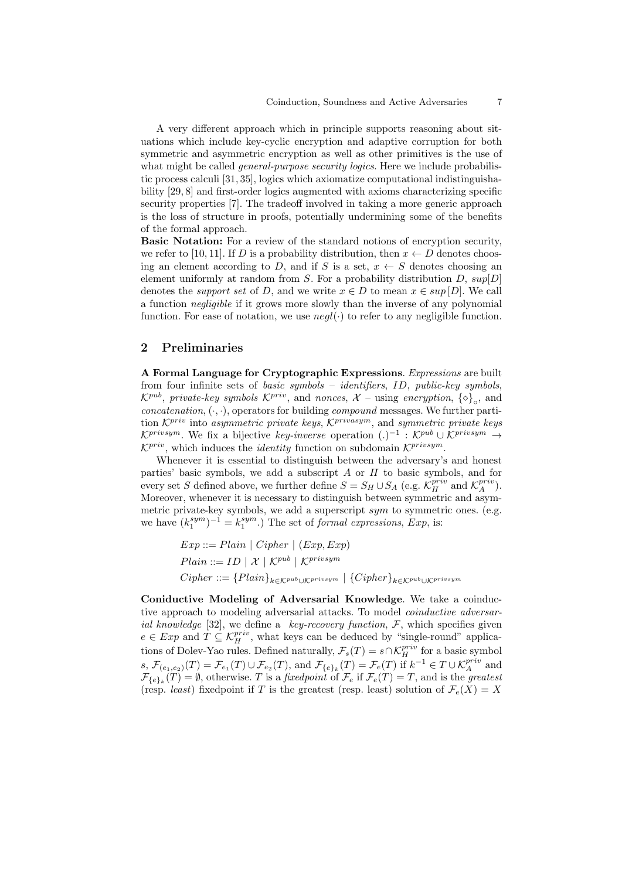A very different approach which in principle supports reasoning about situations which include key-cyclic encryption and adaptive corruption for both symmetric and asymmetric encryption as well as other primitives is the use of what might be called *general-purpose security logics*. Here we include probabilistic process calculi [31, 35], logics which axiomatize computational indistinguishability [29, 8] and first-order logics augmented with axioms characterizing specific security properties [7]. The tradeoff involved in taking a more generic approach is the loss of structure in proofs, potentially undermining some of the benefits of the formal approach.

Basic Notation: For a review of the standard notions of encryption security, we refer to [10, 11]. If D is a probability distribution, then  $x \leftarrow D$  denotes choosing an element according to D, and if S is a set,  $x \leftarrow S$  denotes choosing an element uniformly at random from S. For a probability distribution  $D$ ,  $sup[D]$ denotes the *support set* of D, and we write  $x \in D$  to mean  $x \in \text{sup}[D]$ . We call a function negligible if it grows more slowly than the inverse of any polynomial function. For ease of notation, we use  $\text{real}(\cdot)$  to refer to any negligible function.

## 2 Preliminaries

A Formal Language for Cryptographic Expressions. Expressions are built from four infinite sets of basic symbols – identifiers, ID, public-key symbols,  $\mathcal{K}^{pub}$ , private-key symbols  $\mathcal{K}^{priv}$ , and nonces,  $\mathcal{X}$  – using encryption,  $\{\diamond\}_\circ$ , and  $concatenation, (\cdot, \cdot)$ , operators for building *compound* messages. We further partition  $\mathcal{K}^{priv}$  into asymmetric private keys,  $\mathcal{K}^{privasym}$ , and symmetric private keys  $\mathcal{K}^{privsym}$ . We fix a bijective key-inverse operation  $(.)^{-1} : \mathcal{K}^{pub} \cup \mathcal{K}^{privsym} \rightarrow$  $\mathcal{K}^{priv}$ , which induces the *identity* function on subdomain  $\mathcal{K}^{privsym}$ .

Whenever it is essential to distinguish between the adversary's and honest parties' basic symbols, we add a subscript  $A$  or  $H$  to basic symbols, and for every set S defined above, we further define  $S = S_H \cup S_A$  (e.g.  $\mathcal{K}_H^{priv}$  and  $\mathcal{K}_A^{priv}$ ). Moreover, whenever it is necessary to distinguish between symmetric and asymmetric private-key symbols, we add a superscript  $sym$  to symmetric ones. (e.g. we have  $(k_1^{sym})^{-1} = k_1^{sym}$ .) The set of *formal expressions*, *Exp*, is:

> $Exp ::= Plain \mid Cipher \mid (Exp, Exp)$  $Plain ::= ID \mid \mathcal{X} \mid \mathcal{K}^{pub} \mid \mathcal{K}^{privsym}$  $Cipher ::= {Plain}_{k∈K^{pub} \cup K^{privsym}} \mid {Cipher}_{k∈K^{pub} \cup K^{privsym}}$

Coniductive Modeling of Adversarial Knowledge. We take a coinductive approach to modeling adversarial attacks. To model coinductive adversar*ial knowledge* [32], we define a *key-recovery function*,  $\mathcal{F}$ , which specifies given  $e \in Exp$  and  $T \subseteq \mathcal{K}_H^{priv}$ , what keys can be deduced by "single-round" applications of Dolev-Yao rules. Defined naturally,  $\mathcal{F}_s(T) = s \cap \mathcal{K}_H^{priv}$  for a basic symbol  $s, \mathcal{F}_{(e_1,e_2)}(T) = \mathcal{F}_{e_1}(T) \cup \mathcal{F}_{e_2}(T)$ , and  $\mathcal{F}_{\{e\}_k}(T) = \mathcal{F}_e(T)$  if  $k^{-1} \in T \cup \mathcal{K}_A^{priv}$  and  $\mathcal{F}_{\{e\}_k}(T) = \emptyset$ , otherwise. T is a *fixedpoint* of  $\mathcal{F}_e$  if  $\mathcal{F}_e(T) = T$ , and is the *greatest* (resp. *least*) fixedpoint if T is the greatest (resp. least) solution of  $\mathcal{F}_e(X) = X$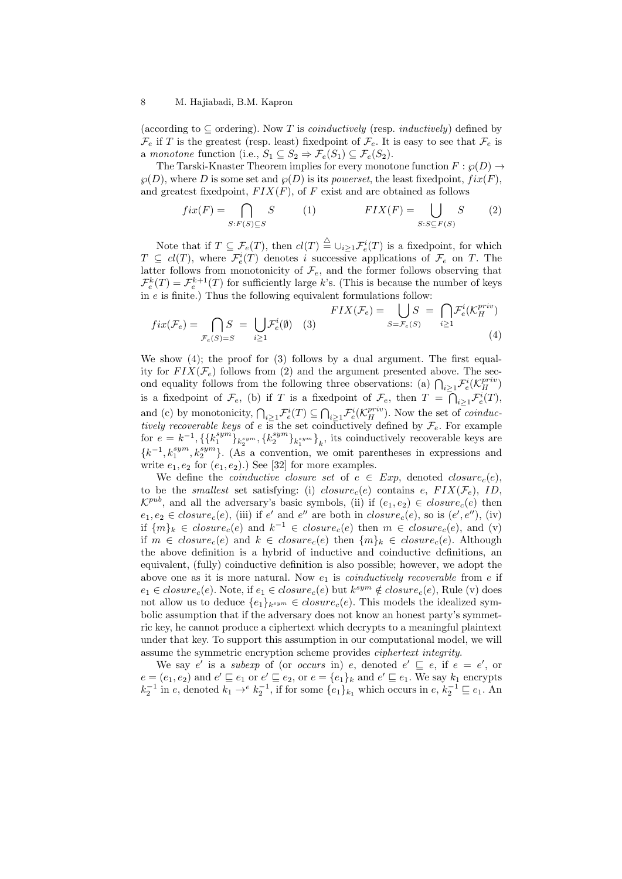(according to  $\subseteq$  ordering). Now T is *coinductively* (resp. *inductively*) defined by  $\mathcal{F}_e$  if T is the greatest (resp. least) fixedpoint of  $\mathcal{F}_e$ . It is easy to see that  $\mathcal{F}_e$  is a monotone function (i.e.,  $S_1 \subseteq S_2 \Rightarrow \mathcal{F}_e(S_1) \subseteq \mathcal{F}_e(S_2)$ .

The Tarski-Knaster Theorem implies for every monotone function  $F : \varphi(D) \to$  $\wp(D)$ , where D is some set and  $\wp(D)$  is its powerset, the least fixed point,  $fix(F)$ , and greatest fixedpoint,  $FIX(F)$ , of F exist and are obtained as follows

$$
fix(F) = \bigcap_{S:F(S) \subseteq S} S \qquad (1) \qquad FIX(F) = \bigcup_{S:S \subseteq F(S)} S \qquad (2)
$$

Note that if  $T \subseteq \mathcal{F}_e(T)$ , then  $cl(T) \triangleq \bigcup_{i \geq 1} \mathcal{F}_e^i(T)$  is a fixedpoint, for which  $T \subseteq cl(T)$ , where  $\mathcal{F}_e^i(T)$  denotes i successive applications of  $\mathcal{F}_e$  on T. The latter follows from monotonicity of  $\mathcal{F}_e$ , and the former follows observing that  $\mathcal{F}_e^k(T) = \mathcal{F}_e^{k+1}(T)$  for sufficiently large k's. (This is because the number of keys in  $e$  is finite.) Thus the following equivalent formulations follow:

$$
fix(\mathcal{F}_e) = \bigcap_{\mathcal{F}_e(S) = S} S = \bigcup_{i \ge 1} \mathcal{F}_e^i(\emptyset) \quad (3)
$$
\n
$$
FIN(\mathcal{F}_e) = \bigcup_{S = \mathcal{F}_e(S)} S = \bigcap_{i \ge 1} \mathcal{F}_e^i(\mathcal{K}_H^{priv})
$$
\n
$$
(4)
$$

We show (4); the proof for (3) follows by a dual argument. The first equality for  $FIX(\mathcal{F}_e)$  follows from (2) and the argument presented above. The second equality follows from the following three observations: (a)  $\bigcap_{i\geq 1} \mathcal{F}_e^{i}(\mathcal{K}_H^{priv})$ is a fixedpoint of  $\mathcal{F}_e$ , (b) if T is a fixedpoint of  $\mathcal{F}_e$ , then  $T = \bigcap_{i \geq 1} \mathcal{F}_e^i(T)$ , and (c) by monotonicity,  $\bigcap_{i\geq 1} \mathcal{F}_e^i(T) \subseteq \bigcap_{i\geq 1} \mathcal{F}_e^i(\mathcal{K}_H^{priv})$ . Now the set of *coinduc*tively recoverable keys of e is the set coinductively defined by  $\mathcal{F}_e$ . For example for  $e = k^{-1}, \{\{k_1^{sym}\}_{k_2^{sym}}, \{k_2^{sym}\}_{k_1^{sym}}\}_{k_2^{sym}}\}$ , its coinductively recoverable keys are  ${k}^{-1}, {k}^{sym}_1, {k}^{sym}_2$ . (As a convention, we omit parentheses in expressions and write  $e_1, e_2$  for  $(e_1, e_2)$ .) See [32] for more examples.

We define the *coinductive closure set* of  $e \in Exp$ , denoted *closure<sub>c</sub>*(*e*), to be the *smallest* set satisfying: (i)  $closure_{c}(e)$  contains e,  $FIN(\mathcal{F}_{e}), ID,$  $\mathcal{K}^{pub}$ , and all the adversary's basic symbols, (ii) if  $(e_1, e_2) \in closure_c(e)$  then  $e_1, e_2 \in closure_c(e)$ , (iii) if e' and e'' are both in  $closure_c(e)$ , so is  $(e', e'')$ , (iv) if  $\{m\}_k \in closure_c(e)$  and  $k^{-1} \in closure_c(e)$  then  $m \in closure_c(e)$ , and  $(v)$ if  $m \in closure_c(e)$  and  $k \in closure_c(e)$  then  $\{m\}_k \in closure_c(e)$ . Although the above definition is a hybrid of inductive and coinductive definitions, an equivalent, (fully) coinductive definition is also possible; however, we adopt the above one as it is more natural. Now  $e_1$  is *coinductively recoverable* from e if  $e_1 \in closure_c(e)$ . Note, if  $e_1 \in closure_c(e)$  but  $k^{sym} \notin closure_c(e)$ , Rule (v) does not allow us to deduce  ${e_1}_{k^{sym}} \in closure_c(e)$ . This models the idealized symbolic assumption that if the adversary does not know an honest party's symmetric key, he cannot produce a ciphertext which decrypts to a meaningful plaintext under that key. To support this assumption in our computational model, we will assume the symmetric encryption scheme provides ciphertext integrity.

We say e' is a subexp of (or occurs in) e, denoted  $e' \subseteq e$ , if  $e = e'$ , or  $e = (e_1, e_2)$  and  $e' \sqsubseteq e_1$  or  $e' \sqsubseteq e_2$ , or  $e = \{e_1\}_k$  and  $e' \sqsubseteq e_1$ . We say  $k_1$  encrypts  $k_2^{-1}$  in e, denoted  $k_1 \to e k_2^{-1}$ , if for some  $\{e_1\}_{k_1}$  which occurs in  $e, k_2^{-1} \sqsubseteq e_1$ . An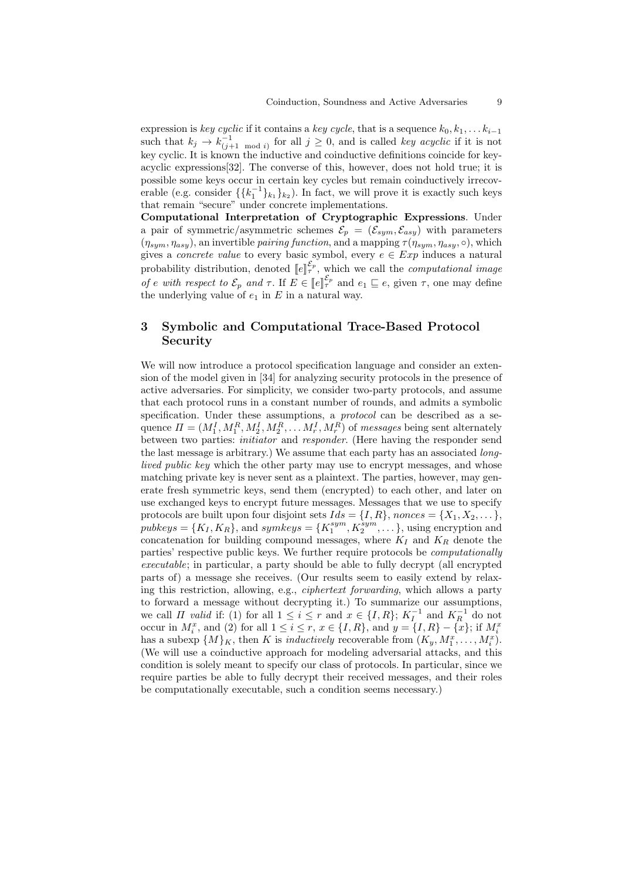expression is key cyclic if it contains a key cycle, that is a sequence  $k_0, k_1, \ldots k_{i-1}$ such that  $k_j \to k_{(j+1 \mod i)}^{-1}$  for all  $j \geq 0$ , and is called key acyclic if it is not key cyclic. It is known the inductive and coinductive definitions coincide for keyacyclic expressions[32]. The converse of this, however, does not hold true; it is possible some keys occur in certain key cycles but remain coinductively irrecoverable (e.g. consider  $\{\{k_1^{-1}\}_{k_1}\}_{k_2}$ ). In fact, we will prove it is exactly such keys that remain "secure" under concrete implementations.

Computational Interpretation of Cryptographic Expressions. Under a pair of symmetric/asymmetric schemes  $\mathcal{E}_p = (\mathcal{E}_{sym}, \mathcal{E}_{asy})$  with parameters  $(\eta_{sym}, \eta_{asy})$ , an invertible *pairing function*, and a mapping  $\tau(\eta_{sym}, \eta_{asy}, \circ)$ , which gives a *concrete value* to every basic symbol, every  $e \in Exp$  induces a natural probability distribution, denoted  $[e]_{\tau_p}^{\xi_p}$ , which we call the *computational image* of e with respect to  $\mathcal{E}_p$  and  $\tau$ . If  $E \in [\![e]\!]^{\mathcal{E}_p}$  and  $e_1 \sqsubseteq e$ , given  $\tau$ , one may define the underlying value of  $e_k$  in  $E$  in a natural way. the underlying value of  $e_1$  in E in a natural way.

## 3 Symbolic and Computational Trace-Based Protocol Security

We will now introduce a protocol specification language and consider an extension of the model given in [34] for analyzing security protocols in the presence of active adversaries. For simplicity, we consider two-party protocols, and assume that each protocol runs in a constant number of rounds, and admits a symbolic specification. Under these assumptions, a *protocol* can be described as a sequence  $\Pi = (M_1^I, M_1^R, M_2^I, M_2^R, \dots, M_r^I, M_r^R)$  of messages being sent alternately between two parties: *initiator* and *responder*. (Here having the responder send the last message is arbitrary.) We assume that each party has an associated longlived public key which the other party may use to encrypt messages, and whose matching private key is never sent as a plaintext. The parties, however, may generate fresh symmetric keys, send them (encrypted) to each other, and later on use exchanged keys to encrypt future messages. Messages that we use to specify protocols are built upon four disjoint sets  $Ids = \{I, R\}$ , nonces =  $\{X_1, X_2, \ldots\}$ ,  $pubkeys = \{K_I, K_R\}$ , and  $symkeys = \{K_1^{sym}, K_2^{sym}, \dots\}$ , using encryption and concatenation for building compound messages, where  $K_I$  and  $K_R$  denote the parties' respective public keys. We further require protocols be computationally executable; in particular, a party should be able to fully decrypt (all encrypted parts of) a message she receives. (Our results seem to easily extend by relaxing this restriction, allowing, e.g., ciphertext forwarding, which allows a party to forward a message without decrypting it.) To summarize our assumptions, we call  $\Pi$  valid if: (1) for all  $1 \leq i \leq r$  and  $x \in \{I, R\}$ ;  $K_I^{-1}$  and  $K_R^{-1}$  do not occur in  $M_i^x$ , and (2) for all  $1 \le i \le r$ ,  $x \in \{I, R\}$ , and  $y = \{I, R\} - \{x\}$ ; if  $M_i^x$ has a subexp  $\{M\}_K$ , then K is *inductively* recoverable from  $(K_y, M_1^x, \ldots, M_i^x)$ . (We will use a coinductive approach for modeling adversarial attacks, and this condition is solely meant to specify our class of protocols. In particular, since we require parties be able to fully decrypt their received messages, and their roles be computationally executable, such a condition seems necessary.)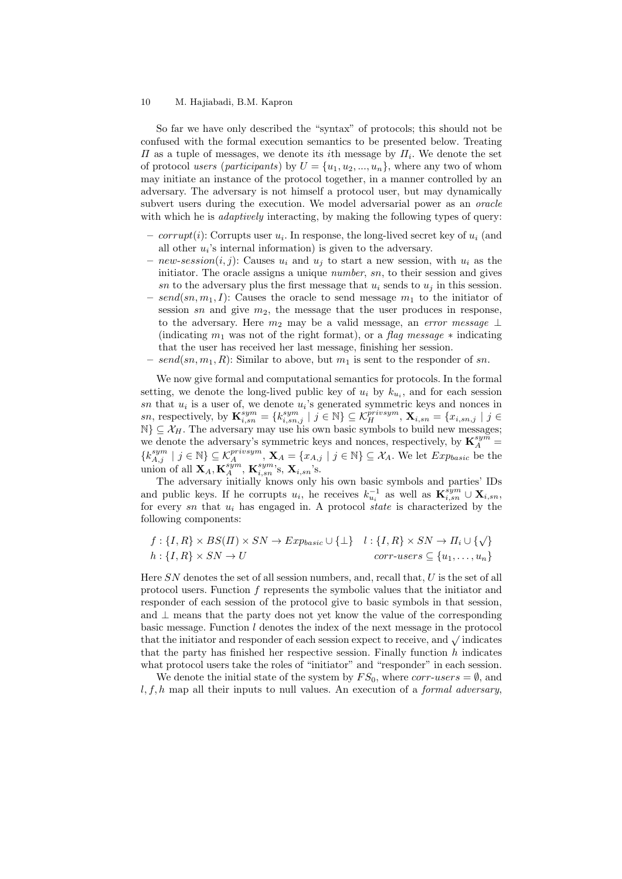So far we have only described the "syntax" of protocols; this should not be confused with the formal execution semantics to be presented below. Treating  $\Pi$  as a tuple of messages, we denote its *i*th message by  $\Pi_i$ . We denote the set of protocol users (participants) by  $U = \{u_1, u_2, ..., u_n\}$ , where any two of whom may initiate an instance of the protocol together, in a manner controlled by an adversary. The adversary is not himself a protocol user, but may dynamically subvert users during the execution. We model adversarial power as an *oracle* with which he is *adaptively* interacting, by making the following types of query:

- $corrupt(i)$ : Corrupts user  $u_i$ . In response, the long-lived secret key of  $u_i$  (and all other  $u_i$ 's internal information) is given to the adversary.
- new-session(i, j): Causes  $u_i$  and  $u_j$  to start a new session, with  $u_i$  as the initiator. The oracle assigns a unique *number*, sn, to their session and gives sn to the adversary plus the first message that  $u_i$  sends to  $u_j$  in this session.
- $send(sn, m_1, I)$ : Causes the oracle to send message  $m_1$  to the initiator of session sn and give  $m_2$ , the message that the user produces in response, to the adversary. Here  $m_2$  may be a valid message, an *error message* ⊥ (indicating  $m_1$  was not of the right format), or a flag message  $*$  indicating that the user has received her last message, finishing her session.
- send(sn, m<sub>1</sub>, R): Similar to above, but  $m_1$  is sent to the responder of sn.

We now give formal and computational semantics for protocols. In the formal setting, we denote the long-lived public key of  $u_i$  by  $k_{u_i}$ , and for each session  $sn$  that  $u_i$  is a user of, we denote  $u_i$ 's generated symmetric keys and nonces in sn, respectively, by  $\mathbf{K}_{i,sn}^{sym} = \{k_{i,sn,j}^{sym} \mid j \in \mathbb{N}\} \subseteq \mathcal{K}_H^{privsym}$ ,  $\mathbf{X}_{i,sn} = \{x_{i,sn,j} \mid j \in \mathbb{N}\}$  $\mathbb{N}\}\subseteq \mathcal{X}_H$ . The adversary may use his own basic symbols to build new messages; we denote the adversary's symmetric keys and nonces, respectively, by  $\mathbf{K}_{A}^{sym}$  =  $\{k_{A,j}^{sym} \mid j \in \mathbb{N}\} \subseteq \mathcal{K}_A^{privsym}, \mathbf{X}_A = \{x_{A,j} \mid j \in \mathbb{N}\} \subseteq \mathcal{X}_A$ . We let  $Exp_{basic}$  be the union of all  $\mathbf{X}_A, \mathbf{K}_A^{sym}, \mathbf{K}_{i,sn}^{sym}$ 's,  $\mathbf{X}_{i,sn}$ 's.

The adversary initially knows only his own basic symbols and parties' IDs and public keys. If he corrupts  $u_i$ , he receives  $k_{u_i}^{-1}$  as well as  $\mathbf{K}_{i,sn}^{sym} \cup \mathbf{X}_{i,sn}$ , for every sn that  $u_i$  has engaged in. A protocol state is characterized by the following components:

$$
f: \{I, R\} \times BS(\Pi) \times SN \to Exp_{basic} \cup \{\bot\} \quad l: \{I, R\} \times SN \to \Pi_i \cup \{\sqrt\}
$$
  

$$
h: \{I, R\} \times SN \to U \qquad corr\text{-}users \subseteq \{u_1, \dots, u_n\}
$$

Here  $SN$  denotes the set of all session numbers, and, recall that, U is the set of all protocol users. Function f represents the symbolic values that the initiator and responder of each session of the protocol give to basic symbols in that session, and  $\perp$  means that the party does not yet know the value of the corresponding basic message. Function  $l$  denotes the index of the next message in the protocol basic message. Function  $\iota$  denotes the index of the next message in the protocol<br>that the initiator and responder of each session expect to receive, and  $\sqrt{}$  indicates that the party has finished her respective session. Finally function  $h$  indicates what protocol users take the roles of "initiator" and "responder" in each session.

We denote the initial state of the system by  $FS_0$ , where  $corr$ -users =  $\emptyset$ , and  $l, f, h$  map all their inputs to null values. An execution of a *formal adversary*,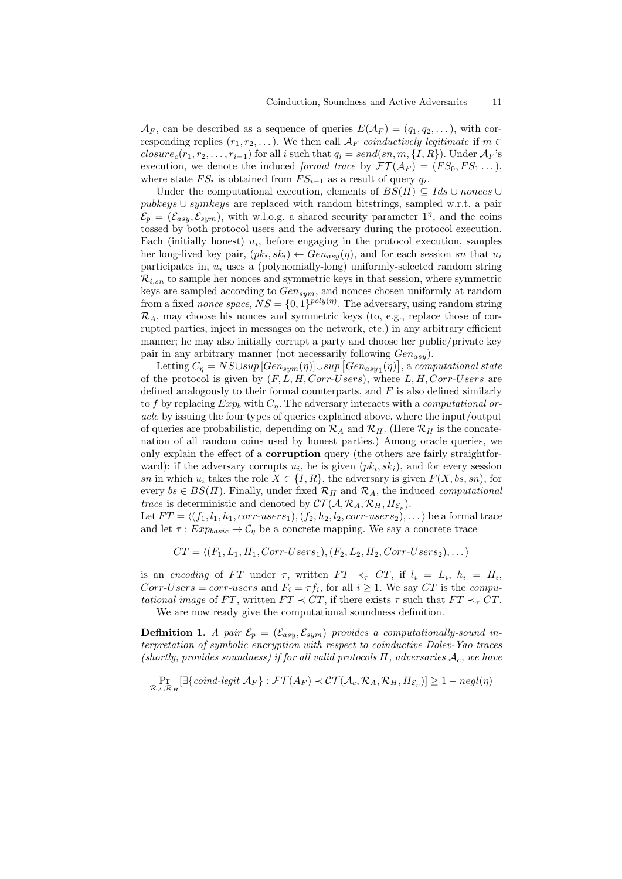$\mathcal{A}_F$ , can be described as a sequence of queries  $E(\mathcal{A}_F) = (q_1, q_2, \dots)$ , with corresponding replies  $(r_1, r_2, \dots)$ . We then call  $\mathcal{A}_F$  coinductively legitimate if  $m \in$ closure<sub>c</sub>( $r_1, r_2, \ldots, r_{i-1}$ ) for all i such that  $q_i = send(s_n, m, {I, R})$ . Under  $\mathcal{A}_F$ 's execution, we denote the induced formal trace by  $\mathcal{FT}(\mathcal{A}_F) = (FS_0, FS_1 \dots)$ , where state  $FS_i$  is obtained from  $FS_{i-1}$  as a result of query  $q_i$ .

Under the computational execution, elements of  $BS(\Pi) \subseteq Ids \cup nonces \cup$ pubkeys ∪ symkeys are replaced with random bitstrings, sampled w.r.t. a pair  $\mathcal{E}_p = (\mathcal{E}_{asy}, \mathcal{E}_{sym})$ , with w.l.o.g. a shared security parameter  $1^{\eta}$ , and the coins tossed by both protocol users and the adversary during the protocol execution. Each (initially honest)  $u_i$ , before engaging in the protocol execution, samples her long-lived key pair,  $(pk_i, sk_i) \leftarrow Gen_{asy}(\eta)$ , and for each session sn that  $u_i$ participates in,  $u_i$  uses a (polynomially-long) uniformly-selected random string  $\mathcal{R}_{i,sn}$  to sample her nonces and symmetric keys in that session, where symmetric keys are sampled according to  $Gen_{sum}$ , and nonces chosen uniformly at random from a fixed *nonce space*,  $NS = \{0, 1\}^{poly(\eta)}$ . The adversary, using random string  $\mathcal{R}_A$ , may choose his nonces and symmetric keys (to, e.g., replace those of corrupted parties, inject in messages on the network, etc.) in any arbitrary efficient manner; he may also initially corrupt a party and choose her public/private key pair in any arbitrary manner (not necessarily following  $Gen_{asu}$ ).

Letting  $C_{\eta} = NS \cup \sup$  [ $Gen_{sym}(\eta)$ ] $\cup \sup$  [ $Gen_{asy_1}(\eta)$ ], a computational state of the protocol is given by  $(F, L, H, Corr-Users)$ , where  $L, H, Corr-Users$  are defined analogously to their formal counterparts, and  $F$  is also defined similarly to f by replacing  $Exp_b$  with  $C_p$ . The adversary interacts with a *computational or*acle by issuing the four types of queries explained above, where the input/output of queries are probabilistic, depending on  $\mathcal{R}_A$  and  $\mathcal{R}_H$ . (Here  $\mathcal{R}_H$  is the concatenation of all random coins used by honest parties.) Among oracle queries, we only explain the effect of a corruption query (the others are fairly straightforward): if the adversary corrupts  $u_i$ , he is given  $(pk_i, sk_i)$ , and for every session sn in which  $u_i$  takes the role  $X \in \{I, R\}$ , the adversary is given  $F(X, bs, sn)$ , for every  $bs \in BS(\Pi)$ . Finally, under fixed  $\mathcal{R}_H$  and  $\mathcal{R}_A$ , the induced *computational trace* is deterministic and denoted by  $\mathcal{CT}(\mathcal{A}, \mathcal{R}_A, \mathcal{R}_H, \Pi_{\mathcal{E}_p})$ .

Let  $FT = \langle (f_1, l_1, h_1, corr-users_1), (f_2, h_2, l_2, corr-users_2), \ldots \rangle$  be a formal trace and let  $\tau: Exp_{basic} \to \mathcal{C}_{\eta}$  be a concrete mapping. We say a concrete trace

$$
CT = \langle (F_1, L_1, H_1, Corr-Users_1), (F_2, L_2, H_2, Corr-Users_2), \dots \rangle
$$

is an encoding of FT under  $\tau$ , written  $FT \prec_{\tau} CT$ , if  $l_i = L_i$ ,  $h_i = H_i$ ,  $Corr-Users = corr-users$  and  $F_i = \tau f_i$ , for all  $i \geq 1$ . We say CT is the computational image of FT, written  $FT \prec CT$ , if there exists  $\tau$  such that  $FT \prec_{\tau} CT$ . We are now ready give the computational soundness definition.

**Definition 1.** A pair  $\mathcal{E}_p = (\mathcal{E}_{asy}, \mathcal{E}_{sym})$  provides a computationally-sound interpretation of symbolic encryption with respect to coinductive Dolev-Yao traces (shortly, provides soundness) if for all valid protocols  $\Pi$ , adversaries  $A_c$ , we have

$$
\Pr_{\mathcal{R}_A, \mathcal{R}_H}[\exists \{\text{coind-legit } \mathcal{A}_F\} : \mathcal{FT}(A_F) \prec \mathcal{CT}(\mathcal{A}_c, \mathcal{R}_A, \mathcal{R}_H, \Pi_{\mathcal{E}_p})] \ge 1 - negl(\eta)
$$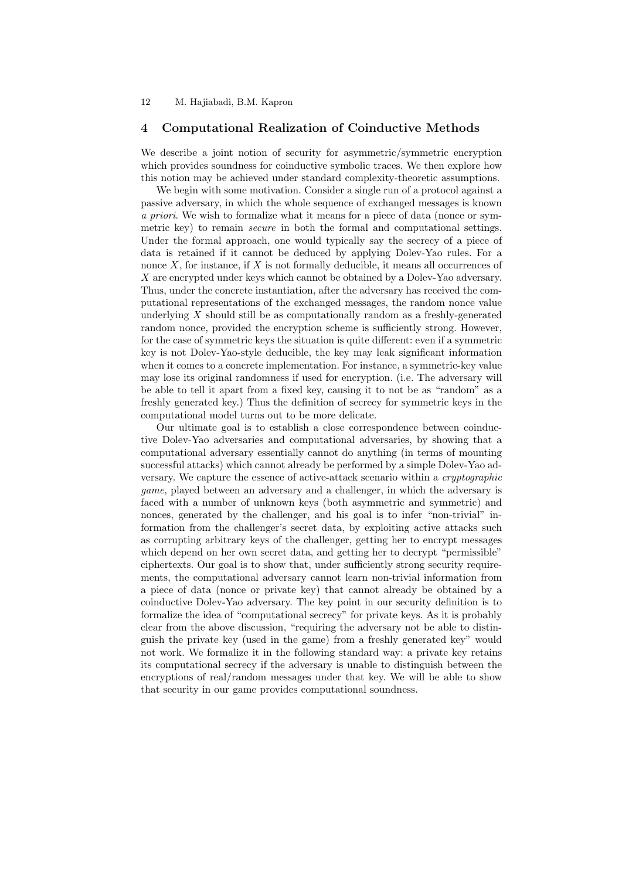### 4 Computational Realization of Coinductive Methods

We describe a joint notion of security for asymmetric/symmetric encryption which provides soundness for coinductive symbolic traces. We then explore how this notion may be achieved under standard complexity-theoretic assumptions.

We begin with some motivation. Consider a single run of a protocol against a passive adversary, in which the whole sequence of exchanged messages is known a priori. We wish to formalize what it means for a piece of data (nonce or symmetric key) to remain *secure* in both the formal and computational settings. Under the formal approach, one would typically say the secrecy of a piece of data is retained if it cannot be deduced by applying Dolev-Yao rules. For a nonce  $X$ , for instance, if  $X$  is not formally deducible, it means all occurrences of X are encrypted under keys which cannot be obtained by a Dolev-Yao adversary. Thus, under the concrete instantiation, after the adversary has received the computational representations of the exchanged messages, the random nonce value underlying  $X$  should still be as computationally random as a freshly-generated random nonce, provided the encryption scheme is sufficiently strong. However, for the case of symmetric keys the situation is quite different: even if a symmetric key is not Dolev-Yao-style deducible, the key may leak significant information when it comes to a concrete implementation. For instance, a symmetric-key value may lose its original randomness if used for encryption. (i.e. The adversary will be able to tell it apart from a fixed key, causing it to not be as "random" as a freshly generated key.) Thus the definition of secrecy for symmetric keys in the computational model turns out to be more delicate.

Our ultimate goal is to establish a close correspondence between coinductive Dolev-Yao adversaries and computational adversaries, by showing that a computational adversary essentially cannot do anything (in terms of mounting successful attacks) which cannot already be performed by a simple Dolev-Yao adversary. We capture the essence of active-attack scenario within a cryptographic game, played between an adversary and a challenger, in which the adversary is faced with a number of unknown keys (both asymmetric and symmetric) and nonces, generated by the challenger, and his goal is to infer "non-trivial" information from the challenger's secret data, by exploiting active attacks such as corrupting arbitrary keys of the challenger, getting her to encrypt messages which depend on her own secret data, and getting her to decrypt "permissible" ciphertexts. Our goal is to show that, under sufficiently strong security requirements, the computational adversary cannot learn non-trivial information from a piece of data (nonce or private key) that cannot already be obtained by a coinductive Dolev-Yao adversary. The key point in our security definition is to formalize the idea of "computational secrecy" for private keys. As it is probably clear from the above discussion, "requiring the adversary not be able to distinguish the private key (used in the game) from a freshly generated key" would not work. We formalize it in the following standard way: a private key retains its computational secrecy if the adversary is unable to distinguish between the encryptions of real/random messages under that key. We will be able to show that security in our game provides computational soundness.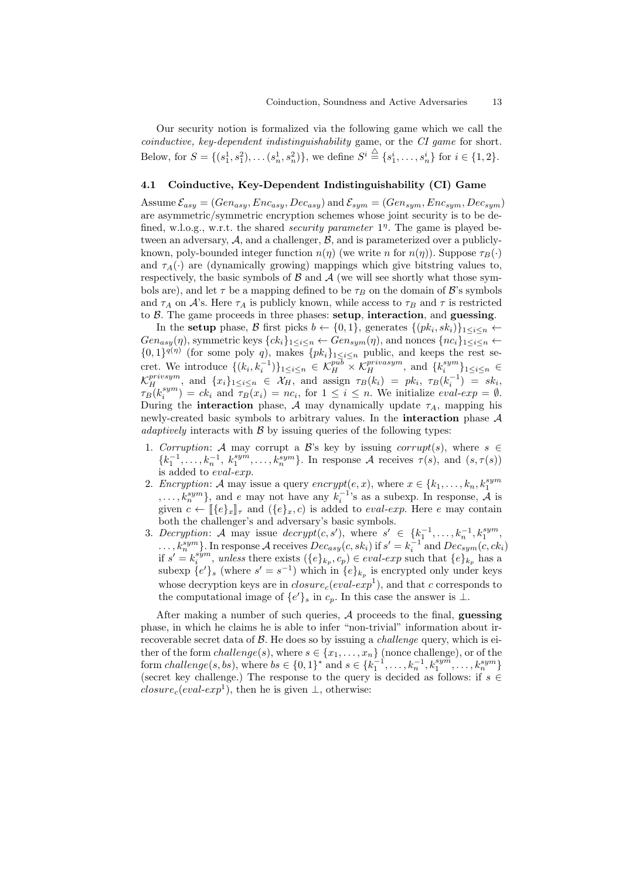Our security notion is formalized via the following game which we call the coinductive, key-dependent indistinguishability game, or the CI game for short. Below, for  $S = \{(s_1^1, s_1^2), \ldots (s_n^1, s_n^2)\}\$ , we define  $S^i \stackrel{\triangle}{=} \{s_1^i, \ldots, s_n^i\}$  for  $i \in \{1, 2\}\$ .

## 4.1 Coinductive, Key-Dependent Indistinguishability (CI) Game

Assume  $\mathcal{E}_{asy} = (Gen_{asy}, Enc_{asy}, Dec_{asy})$  and  $\mathcal{E}_{sym} = (Gen_{sym}, Enc_{sym}, Dec_{sym})$ are asymmetric/symmetric encryption schemes whose joint security is to be defined, w.l.o.g., w.r.t. the shared *security parameter*  $1<sup>\eta</sup>$ . The game is played between an adversary,  $A$ , and a challenger,  $B$ , and is parameterized over a publiclyknown, poly-bounded integer function  $n(\eta)$  (we write n for  $n(\eta)$ ). Suppose  $\tau_B(\cdot)$ and  $\tau_A(\cdot)$  are (dynamically growing) mappings which give bitstring values to, respectively, the basic symbols of  $\beta$  and  $\mathcal A$  (we will see shortly what those symbols are), and let  $\tau$  be a mapping defined to be  $\tau_B$  on the domain of  $\mathcal{B}'$ 's symbols and  $\tau_A$  on A's. Here  $\tau_A$  is publicly known, while access to  $\tau_B$  and  $\tau$  is restricted to  $\beta$ . The game proceeds in three phases: setup, interaction, and guessing.

In the **setup** phase, B first picks  $b \leftarrow \{0, 1\}$ , generates  $\{(pk_i, sk_i)\}_{1 \leq i \leq n}$  $Gen_{asy}(\eta)$ , symmetric keys  $\{ck_i\}_{1\leq i\leq n} \leftarrow Gen_{sym}(\eta)$ , and nonces  $\{nc_i\}_{1\leq i\leq n} \leftarrow$  $\{0,1\}^{q(\eta)}$  (for some poly q), makes  $\{pk_i\}_{1\leq i\leq n}$  public, and keeps the rest secret. We introduce  $\{(k_i, k_i^{-1})\}_{1 \leq i \leq n} \in \mathcal{K}_H^{pub} \times \mathcal{K}_H^{privasym}$ , and  $\{k_i^{sym}\}_{1 \leq i \leq n} \in$  $\mathcal{K}_H^{privsym}$ , and  $\{x_i\}_{1\leq i\leq n} \in \mathcal{X}_H$ , and assign  $\tau_B(k_i) = pk_i$ ,  $\tau_B(k_i^{-1}) = sk_i$ ,  $\tau_B(k_i^{sym}) = ck_i$  and  $\tau_B(x_i) = nc_i$ , for  $1 \leq i \leq n$ . We initialize eval-exp =  $\emptyset$ . During the interaction phase, A may dynamically update  $\tau_A$ , mapping his newly-created basic symbols to arbitrary values. In the **interaction** phase  $\mathcal{A}$ adaptively interacts with  $\beta$  by issuing queries of the following types:

- 1. Corruption: A may corrupt a B's key by issuing corrupt(s), where  $s \in$  ${k_1^{-1}, \ldots, k_n^{-1}, k_1^{sym}, \ldots, k_n^{sym}}$ . In response A receives  $\tau(s)$ , and  $(s, \tau(s))$ is added to eval-exp.
- 2. Encryption: A may issue a query  $\mathit{encrypt}(e, x)$ , where  $x \in \{k_1, \ldots, k_n, k_1^{sym} \}$ ,...,  $k_n^{sym}$ , and e may not have any  $k_i^{-1}$ 's as a subexp. In response,  $\tilde{A}$  is given  $c \leftarrow \llbracket \{e\}_x \rrbracket_\tau$  and  $(\lbrace e \rbrace_x, c)$  is added to *eval-exp*. Here *e* may contain both the challenger's and adversary's basic symbols.
- 3. Decryption: A may issue  $decrypt(c, s')$ , where  $s' \in \{k_1^{-1}, \ldots, k_n^{-1}, k_1^{sym},$  $\dots, k_n^{sym}$ . In response A receives  $Dec_{asy}(c, sk_i)$  if  $s' = k_i^{-1}$  and  $Dec_{sym}(c, ck_i)$ if  $s' = k_i^{sym}$ , unless there exists  $({e}_{k_p}, {c}_p) \in eval\text{-}exp$  such that  ${e}_{k_p}$  has a subexp  $\{e'\}_s$  (where  $s' = s^{-1}$ ) which in  $\{e\}_{k_p}$  is encrypted only under keys whose decryption keys are in  $closure_c(eval-exp^1)$ , and that c corresponds to the computational image of  $\{e'\}_s$  in  $c_p$ . In this case the answer is  $\perp$ .

After making a number of such queries,  $A$  proceeds to the final, guessing phase, in which he claims he is able to infer "non-trivial" information about irrecoverable secret data of  $\beta$ . He does so by issuing a *challenge* query, which is either of the form  $challenge(s)$ , where  $s \in \{x_1, \ldots, x_n\}$  (nonce challenge), or of the form  $challenge(s, bs)$ , where  $bs \in \{0, 1\}^*$  and  $s \in \{k_1^{-1}, \ldots, k_n^{-1}, k_1^{sym}, \ldots, k_n^{sym}\}$ (secret key challenge.) The response to the query is decided as follows: if  $s \in$  $closure_c(eval-exp<sup>1</sup>)$ , then he is given  $\perp$ , otherwise: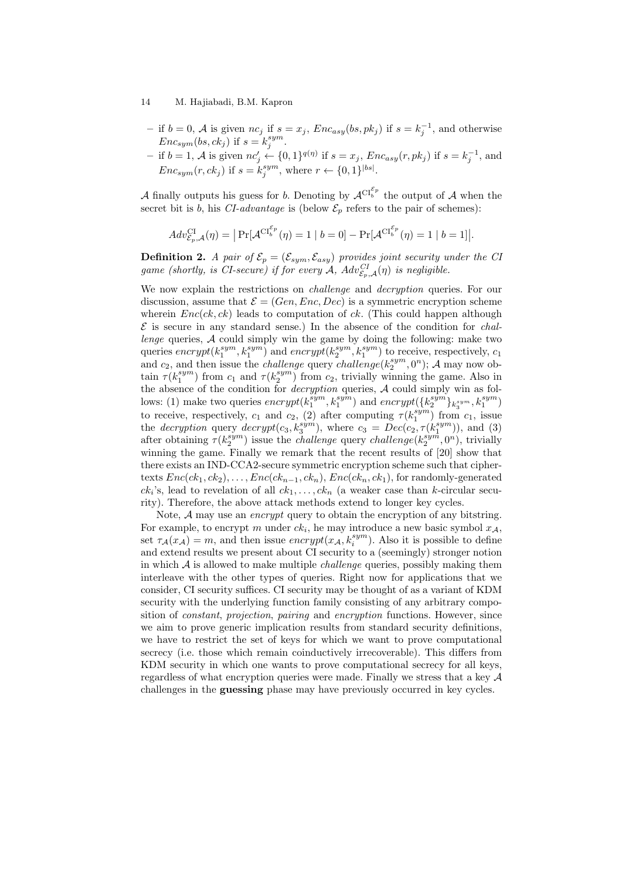- if  $b = 0$ , A is given  $nc_j$  if  $s = x_j$ ,  $Enc_{asy}(bs, pk_j)$  if  $s = k_j^{-1}$ , and otherwise  $Enc_{sym}(bs, ck<sub>j</sub>)$  if  $s = k_j^{sym}$ .
- if  $b = 1$ , A is given  $nc'_j \leftarrow \{0, 1\}^{q(\eta)}$  if  $s = x_j$ ,  $Enc_{asy}(r, pk_j)$  if  $s = k_j^{-1}$ , and  $Enc_{sym}(r, ck_j)$  if  $s = k_j^{sym}$ , where  $r \leftarrow \{0, 1\}^{|bs|}$ .

A finally outputs his guess for b. Denoting by  ${\mathcal{A}}^{\mathrm{CI}^{\mathcal{E}_p}_b}$  the output of A when the secret bit is b, his CI-advantage is (below  $\mathcal{E}_p$  refers to the pair of schemes):

$$
Adv_{\mathcal{E}_p,\mathcal{A}}^{\mathrm{CI}}(\eta) = \left| \Pr[\mathcal{A}^{\mathrm{CI}_b^{\mathcal{E}_p}}(\eta) = 1 \mid b = 0] - \Pr[\mathcal{A}^{\mathrm{CI}_b^{\mathcal{E}_p}}(\eta) = 1 \mid b = 1] \right|.
$$

**Definition 2.** A pair of  $\mathcal{E}_p = (\mathcal{E}_{sym}, \mathcal{E}_{asy})$  provides joint security under the Cl game (shortly, is CI-secure) if for every  $\mathcal{A}$ ,  $Adv_{\mathcal{E}_p,\mathcal{A}}^{CI}(\eta)$  is negligible.

We now explain the restrictions on *challenge* and *decryption* queries. For our discussion, assume that  $\mathcal{E} = (Gen, Enc, Dec)$  is a symmetric encryption scheme wherein  $Enc(ck, ck)$  leads to computation of ck. (This could happen although  $\mathcal E$  is secure in any standard sense.) In the absence of the condition for *challenge* queries,  $A$  could simply win the game by doing the following: make two queries  $\text{energy}t(k_1^{sym}, k_1^{sym})$  and  $\text{energy}t(k_2^{sym}, k_1^{sym})$  to receive, respectively,  $c_1$ and  $c_2$ , and then issue the *challenge* query *challenge*( $k_2^{sym}$ , 0<sup>n</sup>); A may now obtain  $\tau(k_1^{sym})$  from  $c_1$  and  $\tau(k_2^{sym})$  from  $c_2$ , trivially winning the game. Also in the absence of the condition for *decryption* queries, A could simply win as follows: (1) make two queries  $\text{encrypt}(k_1^{sym}, k_1^{sym})$  and  $\text{encrypt}(\{k_2^{sym}\}_{k_3^{sym}}, k_1^{sym})$ to receive, respectively,  $c_1$  and  $c_2$ , (2) after computing  $\tau(k_1^{sym})$  from  $c_1$ , issue the *decryption* query  $decrypt(c_3, k_3^{sym})$ , where  $c_3 = Dec(c_2, \tau(k_1^{sym}))$ , and (3) after obtaining  $\tau(k_2^{sym})$  issue the *challenge* query *challenge*( $k_2^{sym}$ ,  $0^n$ ), trivially winning the game. Finally we remark that the recent results of [20] show that there exists an IND-CCA2-secure symmetric encryption scheme such that ciphertexts  $Enc(ck_1, ck_2), \ldots, Enc(ck_{n-1}, ck_n), Enc(ck_n, ck_1)$ , for randomly-generated  $ck_i$ 's, lead to revelation of all  $ck_1, \ldots, ck_n$  (a weaker case than k-circular security). Therefore, the above attack methods extend to longer key cycles.

Note,  $A$  may use an *encrypt* query to obtain the encryption of any bitstring. For example, to encrypt m under  $ck_i$ , he may introduce a new basic symbol  $x_{\mathcal{A}}$ , set  $\tau_A(x_A) = m$ , and then issue  $\text{encrypt}(x_A, k_i^{sym})$ . Also it is possible to define and extend results we present about CI security to a (seemingly) stronger notion in which  $A$  is allowed to make multiple *challenge* queries, possibly making them interleave with the other types of queries. Right now for applications that we consider, CI security suffices. CI security may be thought of as a variant of KDM security with the underlying function family consisting of any arbitrary composition of *constant, projection, pairing* and *encryption* functions. However, since we aim to prove generic implication results from standard security definitions, we have to restrict the set of keys for which we want to prove computational secrecy (i.e. those which remain coinductively irrecoverable). This differs from KDM security in which one wants to prove computational secrecy for all keys, regardless of what encryption queries were made. Finally we stress that a key A challenges in the guessing phase may have previously occurred in key cycles.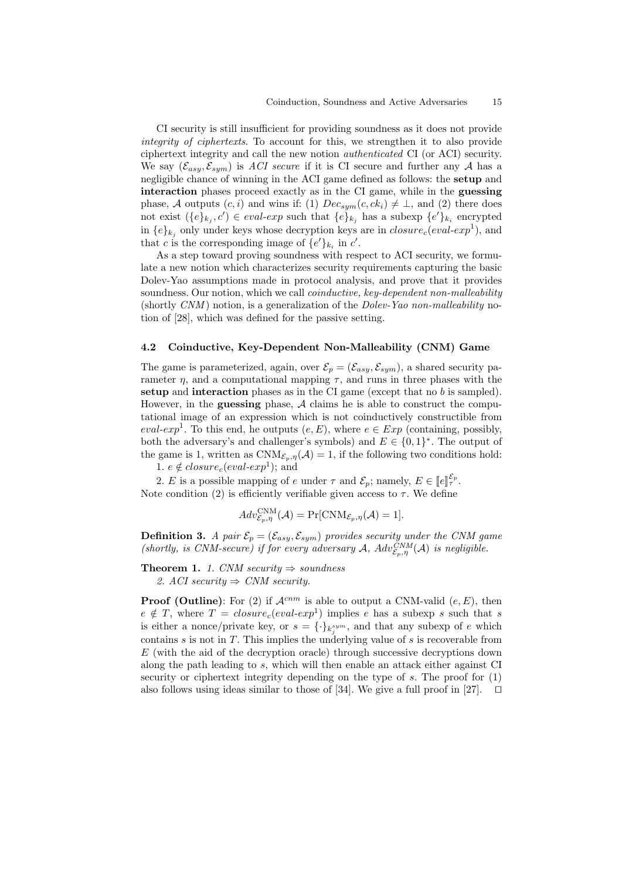CI security is still insufficient for providing soundness as it does not provide integrity of ciphertexts. To account for this, we strengthen it to also provide ciphertext integrity and call the new notion authenticated CI (or ACI) security. We say  $(\mathcal{E}_{asy}, \mathcal{E}_{sym})$  is ACI secure if it is CI secure and further any A has a negligible chance of winning in the ACI game defined as follows: the setup and interaction phases proceed exactly as in the CI game, while in the guessing phase, A outputs  $(c, i)$  and wins if: (1)  $Dec_{sym}(c, ck_i) \neq \bot$ , and (2) there does not exist  $({e}_{k_j}, c') \in eval\text{-}exp$  such that  ${e}_{k_j}$  has a subexp  ${e'}_{k_i}$  encrypted in  $\{e\}_{k_j}$  only under keys whose decryption keys are in  $closure_c(eval-exp^1)$ , and that c is the corresponding image of  $\{e'\}_{k_i}$  in c'.

As a step toward proving soundness with respect to ACI security, we formulate a new notion which characterizes security requirements capturing the basic Dolev-Yao assumptions made in protocol analysis, and prove that it provides soundness. Our notion, which we call *coinductive, key-dependent non-malleability* (shortly  $CNM$ ) notion, is a generalization of the *Dolev-Yao non-malleability* notion of [28], which was defined for the passive setting.

#### 4.2 Coinductive, Key-Dependent Non-Malleability (CNM) Game

The game is parameterized, again, over  $\mathcal{E}_p = (\mathcal{E}_{asy}, \mathcal{E}_{sym})$ , a shared security parameter  $\eta$ , and a computational mapping  $\tau$ , and runs in three phases with the setup and interaction phases as in the CI game (except that no  $b$  is sampled). However, in the guessing phase,  $A$  claims he is able to construct the computational image of an expression which is not coinductively constructible from eval-exp<sup>1</sup>. To this end, he outputs  $(e, E)$ , where  $e \in Exp$  (containing, possibly, both the adversary's and challenger's symbols) and  $E \in \{0,1\}^*$ . The output of the game is 1, written as  $\text{CNM}_{\mathcal{E}_n,\eta}(\mathcal{A})=1$ , if the following two conditions hold:

1.  $e \notin closure_c(eval-exp^1);$  and

2. E is a possible mapping of e under  $\tau$  and  $\mathcal{E}_p$ ; namely,  $E \in [\![e]\!]^{\mathcal{E}_p}$ . Note condition (2) is efficiently verifiable given access to  $\tau$ . We define

$$
Adv_{\mathcal{E}_p,\eta}^{\text{CNM}}(\mathcal{A}) = \Pr[\text{CNM}_{\mathcal{E}_p,\eta}(\mathcal{A}) = 1].
$$

**Definition 3.** A pair  $\mathcal{E}_p = (\mathcal{E}_{asy}, \mathcal{E}_{sym})$  provides security under the CNM game (shortly, is CNM-secure) if for every adversary A,  $Adv_{\mathcal{E}_p,\eta}^{CNM}(\mathcal{A})$  is negligible.

**Theorem 1.** 1. CNM security  $\Rightarrow$  soundness 2. ACI security  $\Rightarrow$  CNM security.

**Proof (Outline):** For (2) if  $\mathcal{A}^{cnm}$  is able to output a CNM-valid (e, E), then  $e \notin T$ , where  $T = closure_c(eval-exp^1)$  implies e has a subexp s such that s is either a nonce/private key, or  $s = \{\cdot\}_{k_j^{sym}}$ , and that any subexp of e which contains  $s$  is not in  $T$ . This implies the underlying value of  $s$  is recoverable from E (with the aid of the decryption oracle) through successive decryptions down along the path leading to s, which will then enable an attack either against CI security or ciphertext integrity depending on the type of s. The proof for  $(1)$ also follows using ideas similar to those of [34]. We give a full proof in [27].  $\Box$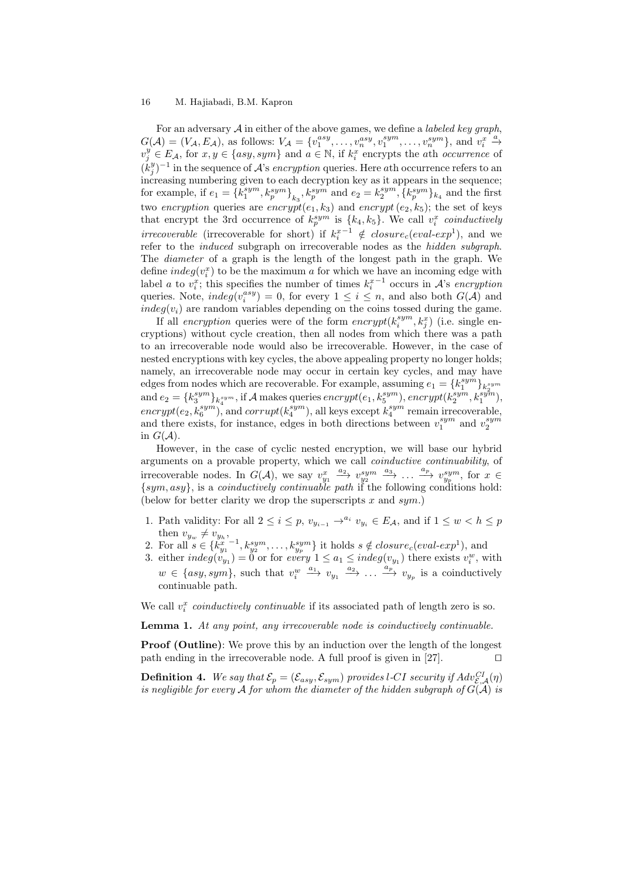For an adversary  $A$  in either of the above games, we define a *labeled key graph*,  $G(\mathcal{A}) = (V_{\mathcal{A}}, E_{\mathcal{A}})$ , as follows:  $V_{\mathcal{A}} = \{v_1^{asy}, \ldots, v_n^{asy}, v_1^{sym}, \ldots, v_n^{sym}\},$  and  $v_i^{x} \stackrel{a'}{\rightarrow}$  $v_j^y \in E_{\mathcal{A}}$ , for  $x, y \in \{asy, sym\}$  and  $a \in \mathbb{N}$ , if  $k_i^x$  encrypts the *ath occurrence* of  $(k_j^y)^{-1}$  in the sequence of A's encryption queries. Here ath occurrence refers to an increasing numbering given to each decryption key as it appears in the sequence; for example, if  $e_1 = \{k_1^{sym}, k_p^{sym}\}_{k_3}$ ,  $k_p^{sym}$  and  $e_2 = k_2^{sym}$ ,  $\{k_p^{sym}\}_{k_4}$  and the first two encryption queries are encrypt $(e_1, k_3)$  and encrypt $(e_2, k_5)$ ; the set of keys that encrypt the 3rd occurrence of  $k_p^{sym}$  is  $\{k_4, k_5\}$ . We call  $v_i^x$  coinductively *irrecoverable* (irrecoverable for short) if  $k_i^{x-1} \notin closure_c(eval-exp^1)$ , and we refer to the *induced* subgraph on irrecoverable nodes as the *hidden subgraph*. The diameter of a graph is the length of the longest path in the graph. We define  $indeg(v_i^x)$  to be the maximum a for which we have an incoming edge with define  $image$  with  $i$  this specifies the number of times  $k_i^{x-1}$  occurs in A's encryption and  $i$  and  $j$  and  $j$  and  $j$  and  $j$  and  $j$  and  $j$  and  $j$  and  $j$  and  $j$  and  $j$  and  $j$  and  $j$  and  $j$  and  $j$  and  $j$  and queries. Note,  $indeg(v_i^{asy}) = 0$ , for every  $1 \leq i \leq n$ , and also both  $G(\mathcal{A})$  and  $indeg(v_i)$  are random variables depending on the coins tossed during the game.

If all encryption queries were of the form  $\text{error}$  $pt(k_i^{sym}, k_j^{x})$  (i.e. single encryptions) without cycle creation, then all nodes from which there was a path to an irrecoverable node would also be irrecoverable. However, in the case of nested encryptions with key cycles, the above appealing property no longer holds; namely, an irrecoverable node may occur in certain key cycles, and may have edges from nodes which are recoverable. For example, assuming  $e_1 = \{k_1^{sym}\}_{k_2^{sym}}$ and  $e_2 = \{k_3^{sym}\}_{k_4^{sym}}$ , if A makes queries  $\text{encrypt}(e_1, k_5^{sym})$ ,  $\text{encrypt}(k_2^{sym}, k_1^{sym})$ ,  $\text{encrypt}(e_2, k_6^{sym})$ , and  $\text{corrupt}(k_4^{sym})$ , all keys except  $k_4^{sym}$  remain irrecoverable, and there exists, for instance, edges in both directions between  $v_1^{sym}$  and  $v_2^{sym}$ in  $G(A)$ .

However, in the case of cyclic nested encryption, we will base our hybrid arguments on a provable property, which we call coinductive continuability, of irrecoverable nodes. In  $G(\mathcal{A})$ , we say  $v_{y_1}^x \xrightarrow{a_2} v_{y_2}^{sym} \xrightarrow{a_3} \ldots \xrightarrow{a_p} v_{y_p}^{sym}$ , for  $x \in$  $\{sym, asy\}$ , is a *coinductively continuable path* if the following conditions hold: (below for better clarity we drop the superscripts  $x$  and  $sym$ .)

- 1. Path validity: For all  $2 \leq i \leq p$ ,  $v_{y_{i-1}} \to^{a_i} v_{y_i} \in E_{\mathcal{A}}$ , and if  $1 \leq w < h \leq p$ then  $v_{y_w} \neq v_{y_h}$ ,
- 2. For all  $s \in \{k_{y_1}^{x-1}, k_{y_2}^{sym}, \ldots, k_{y_p}^{sym}\}$  it holds  $s \notin closure_c(eval-exp^1)$ , and
- 3. either  $indeg(v_{y_1}) = 0$  or for every  $1 \le a_1 \le indeg(v_{y_1})$  there exists  $v_i^w$ , with  $w \in \{asy, sym\}$ , such that  $v_i^w \stackrel{a_1}{\longrightarrow} v_{y_1} \stackrel{a_2}{\longrightarrow} \ldots \stackrel{a_p}{\longrightarrow} v_{y_p}$  is a coinductively continuable path.

We call  $v_i^x$  coinductively continuable if its associated path of length zero is so.

Lemma 1. At any point, any irrecoverable node is coinductively continuable.

**Proof (Outline)**: We prove this by an induction over the length of the longest path ending in the irrecoverable node. A full proof is given in [27].  $\Box$ 

**Definition 4.** We say that  $\mathcal{E}_p = (\mathcal{E}_{asy}, \mathcal{E}_{sym})$  provides l-CI security if  $Adv_{\mathcal{E},\mathcal{A}}^{CI}(\eta)$ is negligible for every A for whom the diameter of the hidden subgraph of  $G(\hat{\mathcal{A}})$  is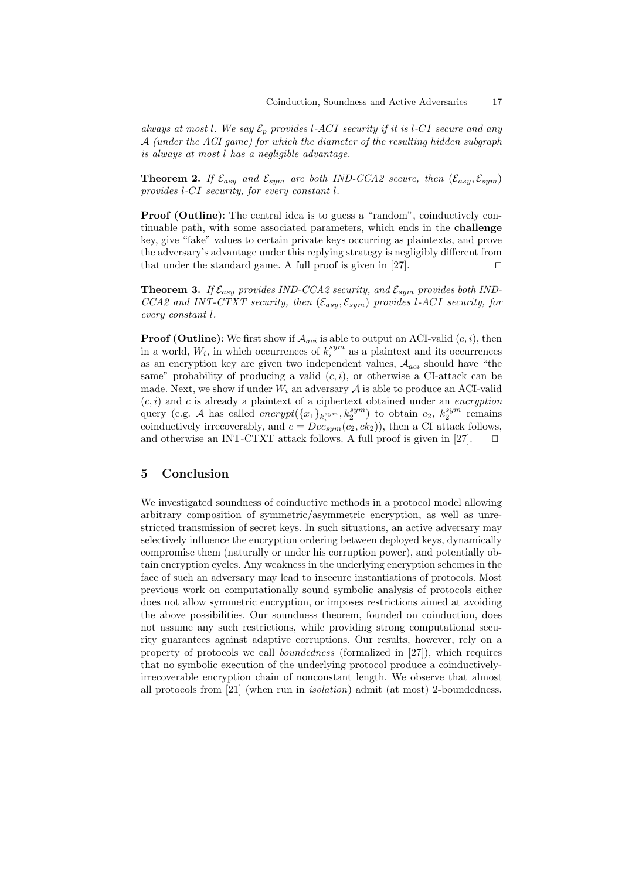always at most l. We say  $\mathcal{E}_p$  provides l-ACI security if it is l-CI secure and any A (under the ACI game) for which the diameter of the resulting hidden subgraph is always at most l has a negligible advantage.

**Theorem 2.** If  $\mathcal{E}_{asy}$  and  $\mathcal{E}_{sym}$  are both IND-CCA2 secure, then  $(\mathcal{E}_{asy}, \mathcal{E}_{sym})$ provides l-CI security, for every constant l.

**Proof (Outline)**: The central idea is to guess a "random", coinductively continuable path, with some associated parameters, which ends in the challenge key, give "fake" values to certain private keys occurring as plaintexts, and prove the adversary's advantage under this replying strategy is negligibly different from that under the standard game. A full proof is given in [27].  $\Box$ 

**Theorem 3.** If  $\mathcal{E}_{asy}$  provides IND-CCA2 security, and  $\mathcal{E}_{sym}$  provides both IND-CCA2 and INT-CTXT security, then  $(\mathcal{E}_{asy}, \mathcal{E}_{sym})$  provides l-ACI security, for every constant l.

**Proof (Outline)**: We first show if  $\mathcal{A}_{aci}$  is able to output an ACI-valid  $(c, i)$ , then in a world,  $W_i$ , in which occurrences of  $k_i^{sym}$  as a plaintext and its occurrences as an encryption key are given two independent values,  $A_{aci}$  should have "the same" probability of producing a valid  $(c, i)$ , or otherwise a CI-attack can be made. Next, we show if under  $W_i$  an adversary  $A$  is able to produce an ACI-valid  $(c, i)$  and c is already a plaintext of a ciphertext obtained under an encryption query (e.g. A has called  $\text{encrypt}(\{x_1\}_{k_1^{\text{sym}}, k_2^{\text{sym}}})$  to obtain  $c_2$ ,  $k_2^{\text{sym}}$  remains coinductively irrecoverably, and  $c = Dec_{sym}(c_2, ck_2)$ , then a CI attack follows, and otherwise an INT-CTXT attack follows. A full proof is given in  $[27]$ .

## 5 Conclusion

We investigated soundness of coinductive methods in a protocol model allowing arbitrary composition of symmetric/asymmetric encryption, as well as unrestricted transmission of secret keys. In such situations, an active adversary may selectively influence the encryption ordering between deployed keys, dynamically compromise them (naturally or under his corruption power), and potentially obtain encryption cycles. Any weakness in the underlying encryption schemes in the face of such an adversary may lead to insecure instantiations of protocols. Most previous work on computationally sound symbolic analysis of protocols either does not allow symmetric encryption, or imposes restrictions aimed at avoiding the above possibilities. Our soundness theorem, founded on coinduction, does not assume any such restrictions, while providing strong computational security guarantees against adaptive corruptions. Our results, however, rely on a property of protocols we call boundedness (formalized in [27]), which requires that no symbolic execution of the underlying protocol produce a coinductivelyirrecoverable encryption chain of nonconstant length. We observe that almost all protocols from [21] (when run in isolation) admit (at most) 2-boundedness.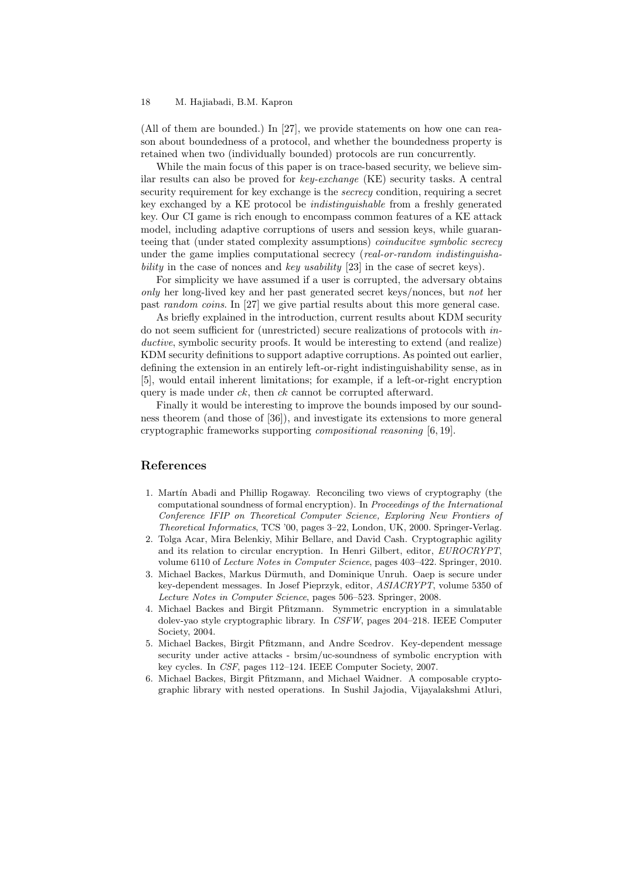(All of them are bounded.) In [27], we provide statements on how one can reason about boundedness of a protocol, and whether the boundedness property is retained when two (individually bounded) protocols are run concurrently.

While the main focus of this paper is on trace-based security, we believe similar results can also be proved for key-exchange (KE) security tasks. A central security requirement for key exchange is the *secrecy* condition, requiring a secret key exchanged by a KE protocol be indistinguishable from a freshly generated key. Our CI game is rich enough to encompass common features of a KE attack model, including adaptive corruptions of users and session keys, while guaranteeing that (under stated complexity assumptions) *coinducitve symbolic secrecy* under the game implies computational secrecy (real-or-random indistinguishability in the case of nonces and key usability [23] in the case of secret keys).

For simplicity we have assumed if a user is corrupted, the adversary obtains only her long-lived key and her past generated secret keys/nonces, but not her past random coins. In [27] we give partial results about this more general case.

As briefly explained in the introduction, current results about KDM security do not seem sufficient for (unrestricted) secure realizations of protocols with inductive, symbolic security proofs. It would be interesting to extend (and realize) KDM security definitions to support adaptive corruptions. As pointed out earlier, defining the extension in an entirely left-or-right indistinguishability sense, as in [5], would entail inherent limitations; for example, if a left-or-right encryption query is made under *ck*, then *ck* cannot be corrupted afterward.

Finally it would be interesting to improve the bounds imposed by our soundness theorem (and those of [36]), and investigate its extensions to more general cryptographic frameworks supporting compositional reasoning [6, 19].

#### References

- 1. Mart´ın Abadi and Phillip Rogaway. Reconciling two views of cryptography (the computational soundness of formal encryption). In Proceedings of the International Conference IFIP on Theoretical Computer Science, Exploring New Frontiers of Theoretical Informatics, TCS '00, pages 3–22, London, UK, 2000. Springer-Verlag.
- 2. Tolga Acar, Mira Belenkiy, Mihir Bellare, and David Cash. Cryptographic agility and its relation to circular encryption. In Henri Gilbert, editor, EUROCRYPT, volume 6110 of Lecture Notes in Computer Science, pages 403–422. Springer, 2010.
- 3. Michael Backes, Markus Dürmuth, and Dominique Unruh. Oaep is secure under key-dependent messages. In Josef Pieprzyk, editor, ASIACRYPT, volume 5350 of Lecture Notes in Computer Science, pages 506–523. Springer, 2008.
- 4. Michael Backes and Birgit Pfitzmann. Symmetric encryption in a simulatable dolev-yao style cryptographic library. In CSFW, pages 204–218. IEEE Computer Society, 2004.
- 5. Michael Backes, Birgit Pfitzmann, and Andre Scedrov. Key-dependent message security under active attacks - brsim/uc-soundness of symbolic encryption with key cycles. In CSF, pages 112–124. IEEE Computer Society, 2007.
- 6. Michael Backes, Birgit Pfitzmann, and Michael Waidner. A composable cryptographic library with nested operations. In Sushil Jajodia, Vijayalakshmi Atluri,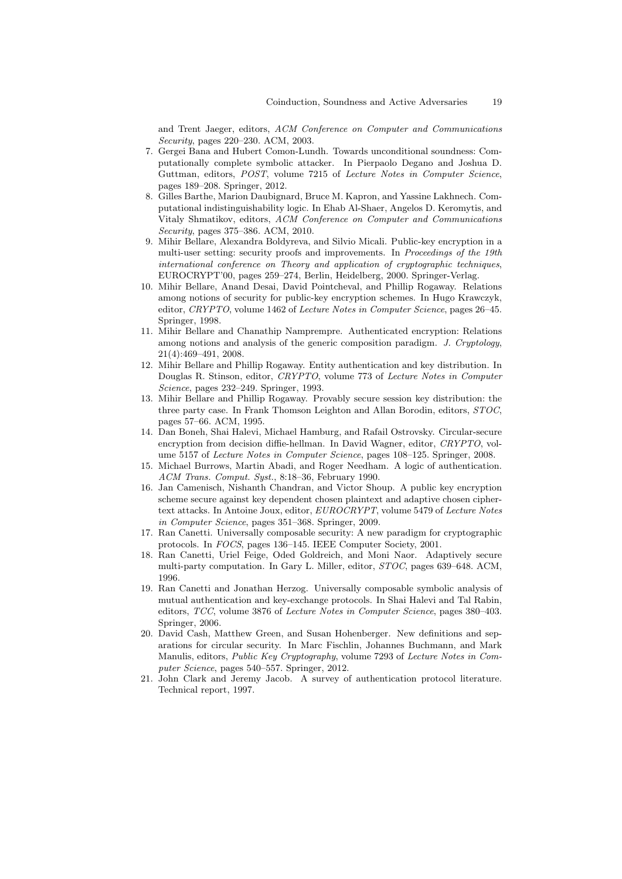and Trent Jaeger, editors, ACM Conference on Computer and Communications Security, pages 220–230. ACM, 2003.

- 7. Gergei Bana and Hubert Comon-Lundh. Towards unconditional soundness: Computationally complete symbolic attacker. In Pierpaolo Degano and Joshua D. Guttman, editors, POST, volume 7215 of Lecture Notes in Computer Science, pages 189–208. Springer, 2012.
- 8. Gilles Barthe, Marion Daubignard, Bruce M. Kapron, and Yassine Lakhnech. Computational indistinguishability logic. In Ehab Al-Shaer, Angelos D. Keromytis, and Vitaly Shmatikov, editors, ACM Conference on Computer and Communications Security, pages 375–386. ACM, 2010.
- 9. Mihir Bellare, Alexandra Boldyreva, and Silvio Micali. Public-key encryption in a multi-user setting: security proofs and improvements. In Proceedings of the 19th international conference on Theory and application of cryptographic techniques, EUROCRYPT'00, pages 259–274, Berlin, Heidelberg, 2000. Springer-Verlag.
- 10. Mihir Bellare, Anand Desai, David Pointcheval, and Phillip Rogaway. Relations among notions of security for public-key encryption schemes. In Hugo Krawczyk, editor, CRYPTO, volume 1462 of Lecture Notes in Computer Science, pages 26–45. Springer, 1998.
- 11. Mihir Bellare and Chanathip Namprempre. Authenticated encryption: Relations among notions and analysis of the generic composition paradigm. J. Cryptology, 21(4):469–491, 2008.
- 12. Mihir Bellare and Phillip Rogaway. Entity authentication and key distribution. In Douglas R. Stinson, editor, CRYPTO, volume 773 of Lecture Notes in Computer Science, pages 232–249. Springer, 1993.
- 13. Mihir Bellare and Phillip Rogaway. Provably secure session key distribution: the three party case. In Frank Thomson Leighton and Allan Borodin, editors, STOC, pages 57–66. ACM, 1995.
- 14. Dan Boneh, Shai Halevi, Michael Hamburg, and Rafail Ostrovsky. Circular-secure encryption from decision diffie-hellman. In David Wagner, editor, CRYPTO, volume 5157 of Lecture Notes in Computer Science, pages 108–125. Springer, 2008.
- 15. Michael Burrows, Martin Abadi, and Roger Needham. A logic of authentication. ACM Trans. Comput. Syst., 8:18–36, February 1990.
- 16. Jan Camenisch, Nishanth Chandran, and Victor Shoup. A public key encryption scheme secure against key dependent chosen plaintext and adaptive chosen ciphertext attacks. In Antoine Joux, editor, EUROCRYPT, volume 5479 of Lecture Notes in Computer Science, pages 351–368. Springer, 2009.
- 17. Ran Canetti. Universally composable security: A new paradigm for cryptographic protocols. In FOCS, pages 136–145. IEEE Computer Society, 2001.
- 18. Ran Canetti, Uriel Feige, Oded Goldreich, and Moni Naor. Adaptively secure multi-party computation. In Gary L. Miller, editor, STOC, pages 639–648. ACM, 1996.
- 19. Ran Canetti and Jonathan Herzog. Universally composable symbolic analysis of mutual authentication and key-exchange protocols. In Shai Halevi and Tal Rabin, editors, TCC, volume 3876 of Lecture Notes in Computer Science, pages 380–403. Springer, 2006.
- 20. David Cash, Matthew Green, and Susan Hohenberger. New definitions and separations for circular security. In Marc Fischlin, Johannes Buchmann, and Mark Manulis, editors, Public Key Cryptography, volume 7293 of Lecture Notes in Computer Science, pages 540–557. Springer, 2012.
- 21. John Clark and Jeremy Jacob. A survey of authentication protocol literature. Technical report, 1997.